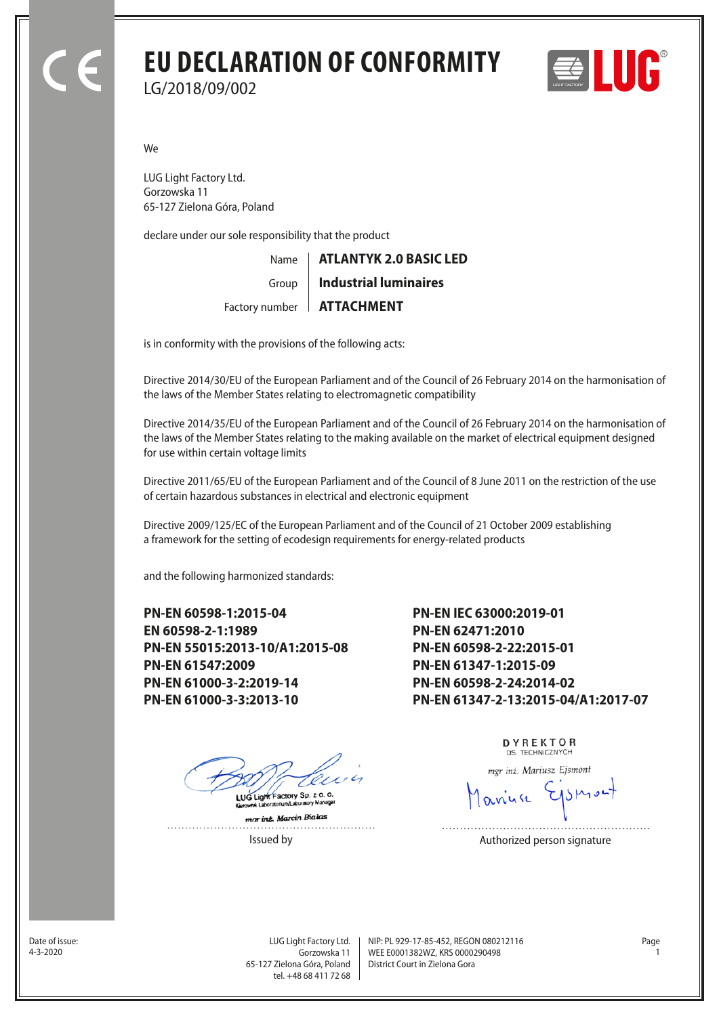# **EU DECLARATION OF CONFORMITY** LG/2018/09/002



We

LUG Light Factory Ltd. Gorzowska 11 65-127 Zielona Góra, Poland

declare under our sole responsibility that the product

Name Factory number | **ATTACHMENT** Group **ATLANTYK 2.0 BASIC LED Industrial luminaires**

is in conformity with the provisions of the following acts:

Directive 2014/30/EU of the European Parliament and of the Council of 26 February 2014 on the harmonisation of the laws of the Member States relating to electromagnetic compatibility

Directive 2014/35/EU of the European Parliament and of the Council of 26 February 2014 on the harmonisation of the laws of the Member States relating to the making available on the market of electrical equipment designed for use within certain voltage limits

Directive 2011/65/EU of the European Parliament and of the Council of 8 June 2011 on the restriction of the use of certain hazardous substances in electrical and electronic equipment

Directive 2009/125/EC of the European Parliament and of the Council of 21 October 2009 establishing a framework for the setting of ecodesign requirements for energy-related products

and the following harmonized standards:

**PN-EN 60598-1:2015-04 EN 60598-2-1:1989 PN-EN 55015:2013-10/A1:2015-08 PN-EN 61547:2009 PN-EN 61000-3-2:2019-14 PN-EN 61000-3-3:2013-10**

**PN-EN IEC 63000:2019-01 PN-EN 62471:2010 PN-EN 60598-2-22:2015-01 PN-EN 61347-1:2015-09 PN-EN 60598-2-24:2014-02 PN-EN 61347-2-13:2015-04/A1:2017-07**

ry Sp. z o. o. LUG Light Fact

mar inz. Marcin Bialas

.<br>Amunicipale

DYREKTOR DS. TECHNICZNYCH

mgr inż. Mariusz Ejsmont

anuse

Issued by **Authorized person signature** 

Date of issue:<br>4-3-2020

Gorzowska 11 65-127 Zielona Góra, Poland tel. +48 68 411 72 68

LUG Light Factory Ltd. Page NIP: PL 929-17-85-452, REGON 080212116 WEE E0001382WZ, KRS 0000290498 4-3-2020 1 District Court in Zielona Gora